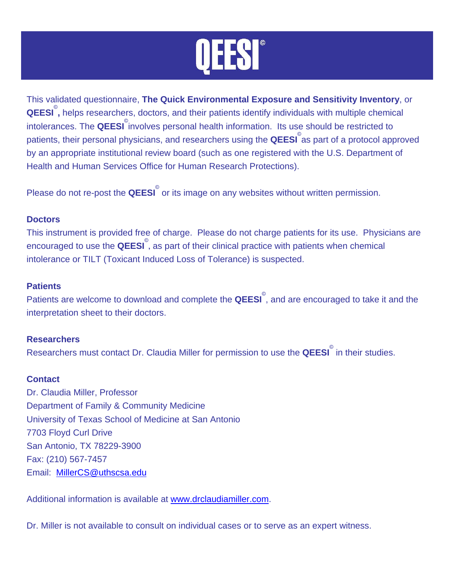This validated questionnaire, **The Quick Environmental Exposure and Sensitivity Inventory**, or **QEESI** © **,** helps researchers, doctors, and their patients identify individuals with multiple chemical intolerances. The **QEESI** involves personal health information. Its use should be restricted to patients, their personal physicians, and researchers using the **QEESI** © as part of a protocol approved by an appropriate institutional review board (such as one registered with the U.S. Department of Health and Human Services Office for Human Research Protections).

Please do not re-post the **QEESI**<sup>®</sup> or its image on any websites without written permission.

## **Doctors**

This instrument is provided free of charge. Please do not charge patients for its use. Physicians are encouraged to use the **QEESI**<sup>®</sup>, as part of their clinical practice with patients when chemical intolerance or TILT (Toxicant Induced Loss of Tolerance) is suspected.

## **Patients**

Patients are welcome to download and complete the **QEESI**<sup>®</sup>, and are encouraged to take it and the interpretation sheet to their doctors.

## **Researchers**

Researchers must contact Dr. Claudia Miller for permission to use the **QEESI**<sup>®</sup> in their studies.

## **Conta[ct](mailto:MillerCS@uthscsa.edu)**

Dr. Claudia Miller, Professor Department of Family & Community [Medicine](http://www.drclaudiamiller.com/)  University of Texas School of Medicine at San Antonio 7703 Floyd Curl Drive San Antonio, TX 78229-3900 Fax: (210) 567-7457 Email: MillerCS@uthscsa.edu

Additional information is available at www.drclaudiamiller.com.

Dr. Miller is not available to consult on individual cases or to serve as an expert witness.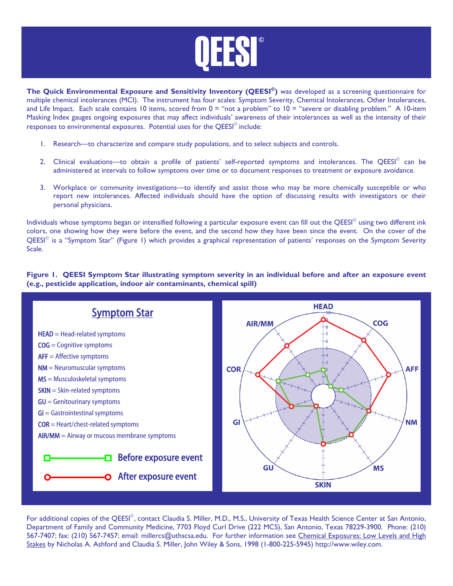

**The Quick Environmental Exposure and Sensitivity Inventory (QEESI<sup>®</sup>) was developed as a screening questionnaire for** multiple chemical intolerances (MCI). The instrument has four scales: Symptom Severity, Chemical Intolerances, Other Intolerances, and Life Impact. Each scale contains 10 items, scored from 0 = "not a problem" to 10 = "severe or disabling problem." A 10-item Masking Index gauges ongoing exposures that may affect individuals' awareness of their intolerances as well as the intensity of their responses to environmental exposures. Potential uses for the QEESI<sup>®</sup> include:

- 1. Research—to characterize and compare study populations, and to select subjects and controls.
- 2. Clinical evaluations—to obtain a profile of patients' self-reported symptoms and intolerances. The QEESI<sup>©</sup> can be administered at intervals to follow symptoms over time or to document responses to treatment or exposure avoidance.
- 3. Workplace or community investigations—to identify and assist those who may be more chemically susceptible or who report new intolerances. Affected individuals should have the option of discussing results with investigators or their personal physicians.

Individuals whose symptoms began or intensified following a particular exposure event can fill out the QEESI<sup>©</sup> using two different ink colors, one showing how they were before the event, and the second how they have been since the event. On the cover of the QEESI© is a "Symptom Star" (Figure 1) which provides a graphical representation of patients' responses on the Symptom Severity Scale.

**Figure 1. QEESI Symptom Star illustrating symptom severity in an individual before and after an exposure event (e.g., pesticide application, indoor air contaminants, chemical spill)** 



For additional copies of the QEESI<sup>©</sup>, contact Claudia S. Miller, M.D., M.S., University of Texas Health Science Center at San Antonio, Department of Family and Community Medicine, 7703 Floyd Curl Drive (222 MCS), San Antonio, Texas 78229-3900. Phone: (210) 567-7407; fax: (210) 567-7457; email: millercs@uthscsa.edu. For further information see Chemical Exposures: Low Levels and High Stakes by Nicholas A. Ashford and Claudia S. Miller, John Wiley & Sons, 1998 (1-800-225-5945) http://www.wiley.com.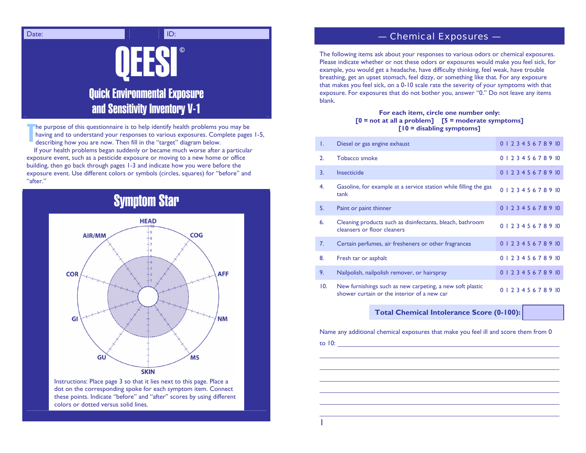

he purpose of this questionnaire is to help identify health problems you may be having and to understand your responses to various exposures. Complete pages 1-5, describing how you are now. Then fill in the "target" diagram below. TThe purpose of this questionnaire is to help identify health problems you may be<br> **1.** having and to understand your responses to various exposures. Complete pages 1-5,<br>
1. Diesel or gas engine exhaust **1.** Diesel or gas e

If your health problems began suddenly or became much worse after a particular exposure event, such as a pesticide exposure or moving to a new home or office building, then go back through pages 1-3 and indicate how you were before the exposure event. Use different colors or symbols (circles, squares) for "before" and "after."

# Symptom Star



Instructions: Place page 3 so that it lies next to this page. Place a dot on the corresponding spoke for each symptom item. Connect these points. Indicate "before" and "after" scores by using different colors or dotted versus solid lines.

#### — Chemical Exposures —

The following items ask about your responses to various odors or chemical exposures. Please indicate whether or not these odors or exposures would make you feel sick, for example, you would get a headache, have difficulty thinking, feel weak, have trouble breathing, get an upset stomach, feel dizzy, or something like that. For any exposure that makes you feel sick, on a 0-10 scale rate the severity of your symptoms with that exposure. For exposures that do not bother you, answer "0." Do not leave any items blank.

## **For each item, circle one number only: [0 = not at all a problem] [5 = moderate symptoms]**

| Τ.  | Diesel or gas engine exhaust                                                                             | 0 1 2 3 4 5 6 7 8 9 10 |
|-----|----------------------------------------------------------------------------------------------------------|------------------------|
| 2.  | Tobacco smoke                                                                                            | 0 1 2 3 4 5 6 7 8 9 10 |
| 3.  | Insecticide                                                                                              | 0 1 2 3 4 5 6 7 8 9 10 |
| 4.  | Gasoline, for example at a service station while filling the gas<br>tank                                 | 0 1 2 3 4 5 6 7 8 9 10 |
| 5.  | Paint or paint thinner                                                                                   | 0 1 2 3 4 5 6 7 8 9 10 |
| 6.  | Cleaning products such as disinfectants, bleach, bathroom<br>cleansers or floor cleaners                 | 0 1 2 3 4 5 6 7 8 9 10 |
| 7.  | Certain perfumes, air fresheners or other fragrances                                                     | 0 1 2 3 4 5 6 7 8 9 10 |
| 8.  | Fresh tar or asphalt                                                                                     | 0 1 2 3 4 5 6 7 8 9 10 |
| 9.  | Nailpolish, nailpolish remover, or hairspray                                                             | 0 1 2 3 4 5 6 7 8 9 10 |
| 10. | New furnishings such as new carpeting, a new soft plastic<br>shower curtain or the interior of a new car | 0 1 2 3 4 5 6 7 8 9 10 |
|     |                                                                                                          |                        |

**Total Chemical Intolerance Score (0-100):** 

Name any additional chemical exposures that make you feel ill and score them from 0

to 10: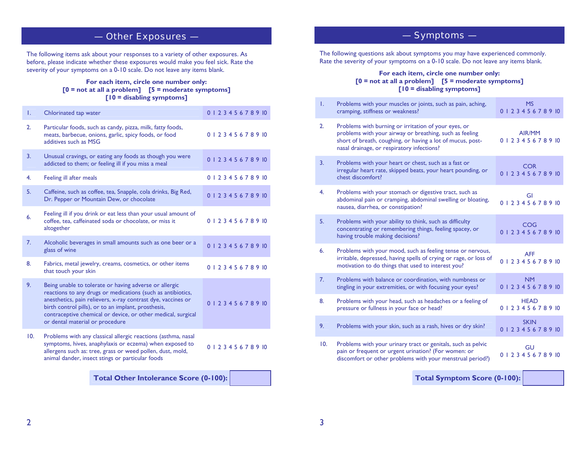## — Other Exposures —

The following items ask about your responses to a variety of other exposures. As before, please indicate whether these exposures would make you feel sick. Rate the severity of your symptoms on a 0-10 scale. Do not leave any items blank.

#### **For each item, circle one number only: [0 = not at all a problem] [5 = moderate symptoms] [10 = disabling symptoms]**

| T.  | Chlorinated tap water                                                                                                                                                                                                                                                                                                                           | 0 1 2 3 4 5 6 7 8 9 10 |
|-----|-------------------------------------------------------------------------------------------------------------------------------------------------------------------------------------------------------------------------------------------------------------------------------------------------------------------------------------------------|------------------------|
| 2.  | Particular foods, such as candy, pizza, milk, fatty foods,<br>meats, barbecue, onions, garlic, spicy foods, or food<br>additives such as MSG                                                                                                                                                                                                    | 0 1 2 3 4 5 6 7 8 9 10 |
| 3.  | Unusual cravings, or eating any foods as though you were<br>addicted to them; or feeling ill if you miss a meal                                                                                                                                                                                                                                 | 0 1 2 3 4 5 6 7 8 9 10 |
| 4.  | Feeling ill after meals                                                                                                                                                                                                                                                                                                                         | 0 1 2 3 4 5 6 7 8 9 10 |
| 5.  | Caffeine, such as coffee, tea, Snapple, cola drinks, Big Red,<br>Dr. Pepper or Mountain Dew, or chocolate                                                                                                                                                                                                                                       | 0 1 2 3 4 5 6 7 8 9 10 |
| 6.  | Feeling ill if you drink or eat less than your usual amount of<br>coffee, tea, caffeinated soda or chocolate, or miss it<br>altogether                                                                                                                                                                                                          | 0 1 2 3 4 5 6 7 8 9 10 |
| 7.  | Alcoholic beverages in small amounts such as one beer or a<br>glass of wine                                                                                                                                                                                                                                                                     | 0 1 2 3 4 5 6 7 8 9 10 |
| 8.  | Fabrics, metal jewelry, creams, cosmetics, or other items<br>that touch your skin                                                                                                                                                                                                                                                               | 0 1 2 3 4 5 6 7 8 9 10 |
| 9.  | Being unable to tolerate or having adverse or allergic<br>reactions to any drugs or medications (such as antibiotics,<br>anesthetics, pain relievers, x-ray contrast dye, vaccines or<br>birth control pills), or to an implant, prosthesis,<br>contraceptive chemical or device, or other medical, surgical<br>or dental material or procedure | 0 1 2 3 4 5 6 7 8 9 10 |
| 10. | Problems with any classical allergic reactions (asthma, nasal<br>symptoms, hives, anaphylaxis or eczema) when exposed to<br>allergens such as: tree, grass or weed pollen, dust, mold,<br>animal dander, insect stings or particular foods                                                                                                      | 0 1 2 3 4 5 6 7 8 9 10 |
|     | <b>Total Other Intolerance Score (0-100):</b>                                                                                                                                                                                                                                                                                                   |                        |

## — Symptoms —

The following questions ask about symptoms you may have experienced commonly. Rate the severity of your symptoms on a 0-10 scale. Do not leave any items blank.

#### **For each item, circle one number only: [0 = not at all a problem] [5 = moderate symptoms] [10 = disabling symptoms]**

| T.  | Problems with your muscles or joints, such as pain, aching,<br>cramping, stiffness or weakness?                                                                                                                             | <b>MS</b><br>0 1 2 3 4 5 6 7 8 9 10   |  |  |  |  |
|-----|-----------------------------------------------------------------------------------------------------------------------------------------------------------------------------------------------------------------------------|---------------------------------------|--|--|--|--|
| 2.  | Problems with burning or irritation of your eyes, or<br>problems with your airway or breathing, such as feeling<br>short of breath, coughing, or having a lot of mucus, post-<br>nasal drainage, or respiratory infections? | AIR/MM<br>0 1 2 3 4 5 6 7 8 9 10      |  |  |  |  |
| 3.  | Problems with your heart or chest, such as a fast or<br>irregular heart rate, skipped beats, your heart pounding, or<br>chest discomfort?                                                                                   | <b>COR</b><br>0 1 2 3 4 5 6 7 8 9 10  |  |  |  |  |
| 4.  | Problems with your stomach or digestive tract, such as<br>abdominal pain or cramping, abdominal swelling or bloating,<br>nausea, diarrhea, or constipation?                                                                 | GI<br>0 1 2 3 4 5 6 7 8 9 10          |  |  |  |  |
| 5.  | Problems with your ability to think, such as difficulty<br>concentrating or remembering things, feeling spacey, or<br>having trouble making decisions?                                                                      | COG<br>0 1 2 3 4 5 6 7 8 9 10         |  |  |  |  |
| 6.  | Problems with your mood, such as feeling tense or nervous,<br>irritable, depressed, having spells of crying or rage, or loss of<br>motivation to do things that used to interest you?                                       | <b>AFF</b><br>0 1 2 3 4 5 6 7 8 9 10  |  |  |  |  |
| 7.  | Problems with balance or coordination, with numbness or<br>tingling in your extremities, or with focusing your eyes?                                                                                                        | <b>NM</b><br>0 1 2 3 4 5 6 7 8 9 10   |  |  |  |  |
| 8.  | Problems with your head, such as headaches or a feeling of<br>pressure or fullness in your face or head?                                                                                                                    | <b>HEAD</b><br>0 1 2 3 4 5 6 7 8 9 10 |  |  |  |  |
| 9.  | Problems with your skin, such as a rash, hives or dry skin?                                                                                                                                                                 | <b>SKIN</b><br>0 1 2 3 4 5 6 7 8 9 10 |  |  |  |  |
| 10. | Problems with your urinary tract or genitals, such as pelvic<br>pain or frequent or urgent urination? (For women: or<br>discomfort or other problems with your menstrual period?)                                           | GU<br>0 1 2 3 4 5 6 7 8 9 10          |  |  |  |  |
|     | <b>Total Symptom Score (0-100):</b>                                                                                                                                                                                         |                                       |  |  |  |  |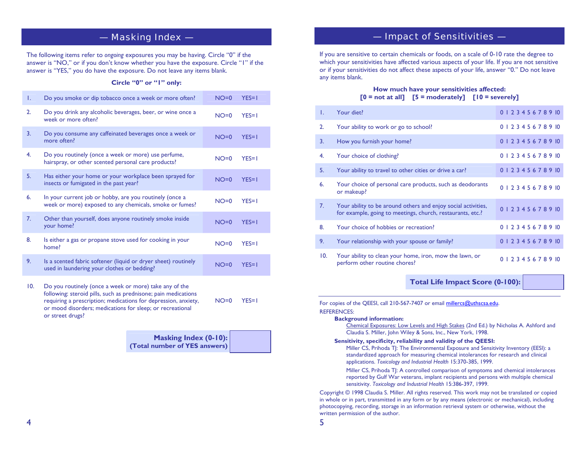## — Masking Index —

The following items refer to *ongoing* exposures you may be having. Circle "0" if the answer is "NO," or if you don't know whether you have the exposure. Circle "1" if the answer is "YES," you do have the exposure. Do not leave any items blank.

#### **Circle "0" or "1" only:**

| Τ.  | Do you smoke or dip tobacco once a week or more often?                                                                                                                                                                                                                      | $NO=0$ | $YES=1$ |
|-----|-----------------------------------------------------------------------------------------------------------------------------------------------------------------------------------------------------------------------------------------------------------------------------|--------|---------|
| 2.  | Do you drink any alcoholic beverages, beer, or wine once a<br>week or more often?                                                                                                                                                                                           | $NO=0$ | $YES=1$ |
| 3.  | Do you consume any caffeinated beverages once a week or<br>more often?                                                                                                                                                                                                      | $NO=0$ | $YES=1$ |
| 4.  | Do you routinely (once a week or more) use perfume,<br>hairspray, or other scented personal care products?                                                                                                                                                                  | $NO=0$ | $YES=1$ |
| 5.  | Has either your home or your workplace been sprayed for<br>insects or fumigated in the past year?                                                                                                                                                                           | $NO=0$ | $YES=1$ |
| 6.  | In your current job or hobby, are you routinely (once a<br>week or more) exposed to any chemicals, smoke or fumes?                                                                                                                                                          | $NO=0$ | $YES=1$ |
| 7.  | Other than yourself, does anyone routinely smoke inside<br>your home?                                                                                                                                                                                                       | $NO=0$ | $YES=1$ |
| 8.  | Is either a gas or propane stove used for cooking in your<br>home?                                                                                                                                                                                                          | $NO=0$ | $YES=1$ |
| 9.  | Is a scented fabric softener (liquid or dryer sheet) routinely<br>used in laundering your clothes or bedding?                                                                                                                                                               | $NO=0$ | $YES=1$ |
| 10. | Do you routinely (once a week or more) take any of the<br>following: steroid pills, such as prednisone; pain medications<br>requiring a prescription; medications for depression, anxiety,<br>or mood disorders; medications for sleep; or recreational<br>or street drugs? | $NO=0$ | $YES=1$ |

**Masking Index (0-10): (Total number of YES answers)**

## — Impact of Sensitivities —

If you are sensitive to certain chemicals or foods, on a scale of 0-10 rate the degree to which your sensitivities have affected various aspects of your life. If you are not sensitive or if your sensitivities do not affect these aspects of your life, answer "0." Do not leave any items blank.

#### **How much have your sensitivities affected: [0 = not at all] [5 = moderately] [10 = severely]**

| L.  | Your diet?                                                                                                                  | 0 1 2 3 4 5 6 7 8 9 10 |
|-----|-----------------------------------------------------------------------------------------------------------------------------|------------------------|
| 2.  | Your ability to work or go to school?                                                                                       | 0 1 2 3 4 5 6 7 8 9 10 |
| 3.  | How you furnish your home?                                                                                                  | 0 1 2 3 4 5 6 7 8 9 10 |
| 4.  | Your choice of clothing?                                                                                                    | 0 1 2 3 4 5 6 7 8 9 10 |
| 5.  | Your ability to travel to other cities or drive a car?                                                                      | 0 1 2 3 4 5 6 7 8 9 10 |
| 6.  | Your choice of personal care products, such as deodorants<br>or makeup?                                                     | 0 1 2 3 4 5 6 7 8 9 10 |
| 7.  | Your ability to be around others and enjoy social activities,<br>for example, going to meetings, church, restaurants, etc.? | 0 1 2 3 4 5 6 7 8 9 10 |
| 8.  | Your choice of hobbies or recreation?                                                                                       | 0 1 2 3 4 5 6 7 8 9 10 |
| 9.  | Your relationship with your spouse or family?                                                                               | 0 1 2 3 4 5 6 7 8 9 10 |
| 10. | Your ability to clean your home, iron, mow the lawn, or<br>perform other routine chores?                                    | 0 1 2 3 4 5 6 7 8 9 10 |

**Total Life Impact Score (0-100):** 

| For copies of the QEESI, call 210-567-7407 or email millercs@uthscsa.edu.                                                                                                                                                                                                                                            |
|----------------------------------------------------------------------------------------------------------------------------------------------------------------------------------------------------------------------------------------------------------------------------------------------------------------------|
| <b>REFERENCES:</b>                                                                                                                                                                                                                                                                                                   |
| <b>Background information:</b>                                                                                                                                                                                                                                                                                       |
| Chemical Exposures: Low Levels and High Stakes (2nd Ed.) by Nicholas A. Ashford and<br>Claudia S. Miller, John Wiley & Sons, Inc., New York, 1998.                                                                                                                                                                   |
| Sensitivity, specificity, reliability and validity of the QEESI:<br>Miller CS, Prihoda TJ: The Environmental Exposure and Sensitivity Inventory (EESI): a<br>standardized approach for measuring chemical intolerances for research and clinical<br>applications. Toxicology and Industrial Health 15:370-385, 1999. |
| Miller CS, Prihoda T. A controlled comparison of symptoms and chemical intolerances<br>reported by Gulf War veterans, implant recipients and persons with multiple chemical<br>sensitivity. Toxicology and Industrial Health 15:386-397, 1999.                                                                       |
| Copyright © 1998 Claudia S. Miller. All rights reserved. This work may not be translated or copied<br>in whole or in part, transmitted in any form or by any means (electronic or mechanical) including                                                                                                              |

Copyright © 1998 Claudia S. Miller. All rights reserved. This work may not be translated or copied in whole or in part, transmitted in any form or by any means (electronic or mechanical), including photocopying, recording, storage in an information retrieval system or otherwise, without the written permission of the author.